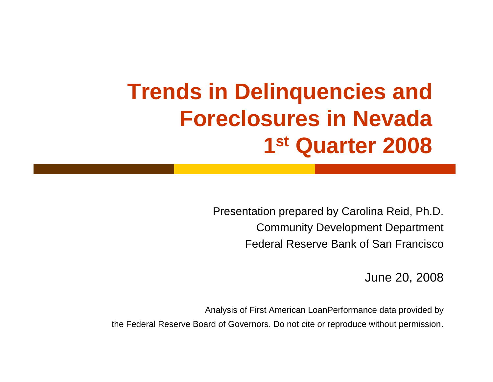# **Trends in Delinquencies and Foreclosures in Nevada1st Quarter 2008**

Presentation prepared by Carolina Reid, Ph.D. Community Development Department Federal Reserve Bank of San Francisco

June 20, 2008

Analysis of First American LoanPerformance data provided by the Federal Reserve Board of Governors. Do not cite or reproduce without permission.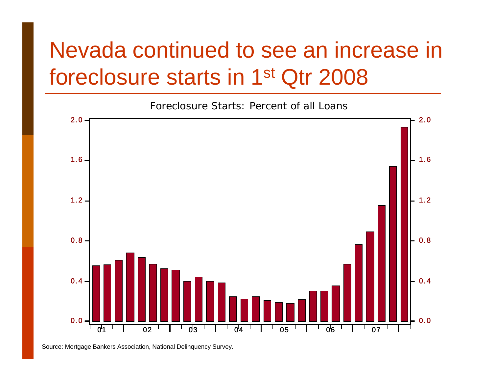# Nevada continued to see an increase in foreclosure starts in 1st Qtr 2008



Source: Mortgage Bankers Association, National Delinquency Survey.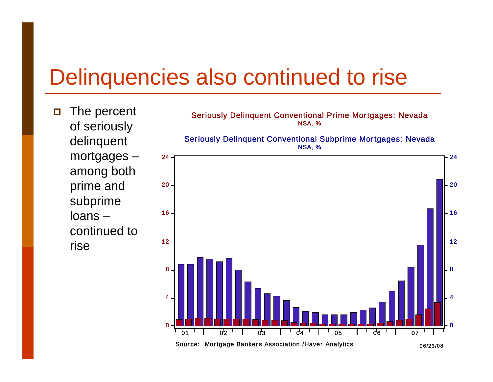## Delinquencies also continued to rise

 $\Box$  The percent of seriously delinquent mortgages – among both prime and subprime loans –continued to rise

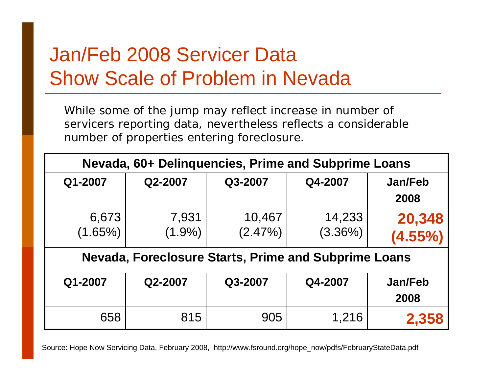### Jan/Feb 2008 Servicer Data Show Scale of Problem in Nevada

While some of the jump may reflect increase in number of servicers reporting data, nevertheless reflects a considerable number of properties entering foreclosure.

| Nevada, 60+ Delinquencies, Prime and Subprime Loans         |                    |                      |                   |                        |
|-------------------------------------------------------------|--------------------|----------------------|-------------------|------------------------|
| Q1-2007                                                     | Q2-2007            | Q3-2007              | Q4-2007           | <b>Jan/Feb</b><br>2008 |
| 6,673<br>$(1.65\%)$                                         | 7,931<br>$(1.9\%)$ | 10,467<br>$(2.47\%)$ | 14,233<br>(3.36%) | 20,348<br>$(4.55\%)$   |
| <b>Nevada, Foreclosure Starts, Prime and Subprime Loans</b> |                    |                      |                   |                        |
| Q1-2007                                                     | Q2-2007            | Q3-2007              | Q4-2007           | <b>Jan/Feb</b><br>2008 |
| 658                                                         | 815                | 905                  | 1,216             | 2,358                  |

Source: Hope Now Servicing Data, February 2008, http://www.fsround.org/hope\_now/pdfs/FebruaryStateData.pdf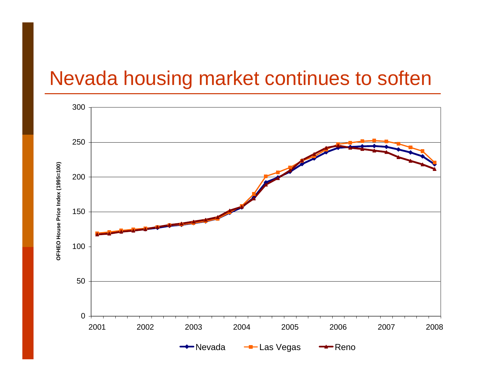### Nevada housing market continues to soften

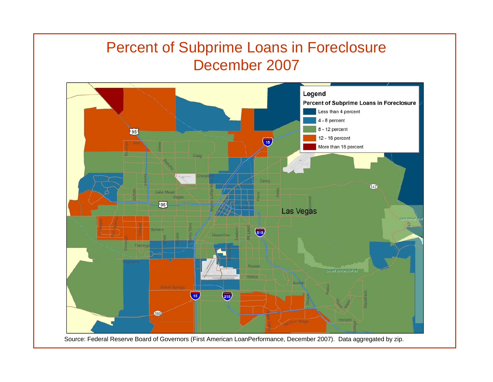#### Percent of Subprime Loans in Foreclosure December 2007

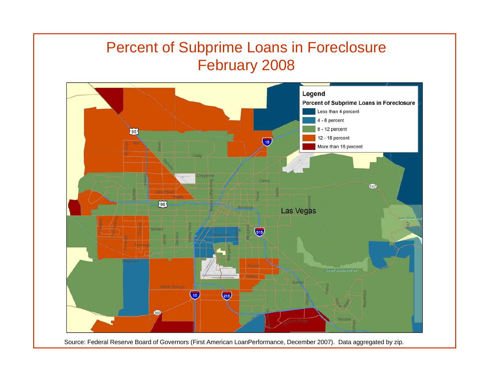#### Percent of Subprime Loans in Foreclosure February 2008

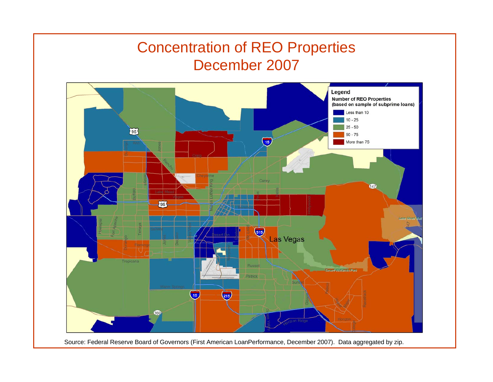